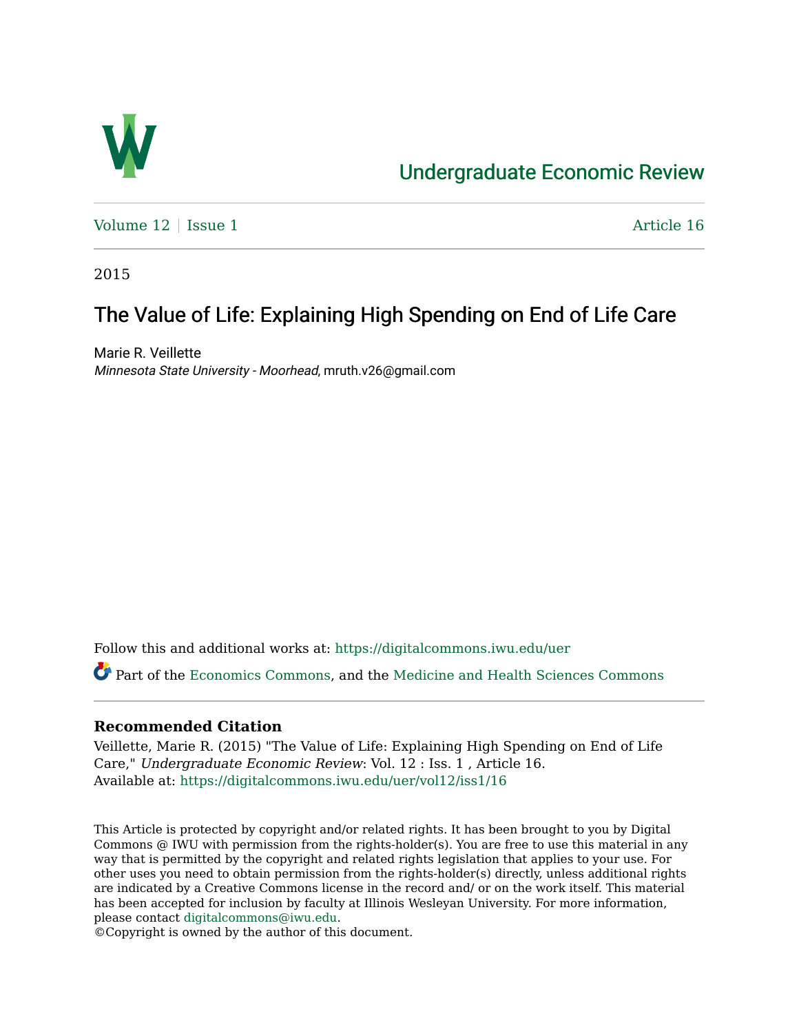

## [Undergraduate Economic Review](https://digitalcommons.iwu.edu/uer)

[Volume 12](https://digitalcommons.iwu.edu/uer/vol12) | [Issue 1](https://digitalcommons.iwu.edu/uer/vol12/iss1) Article 16

2015

# The Value of Life: Explaining High Spending on End of Life Care

Marie R. Veillette Minnesota State University - Moorhead, mruth.v26@gmail.com

Follow this and additional works at: [https://digitalcommons.iwu.edu/uer](https://digitalcommons.iwu.edu/uer?utm_source=digitalcommons.iwu.edu%2Fuer%2Fvol12%2Fiss1%2F16&utm_medium=PDF&utm_campaign=PDFCoverPages)

Part of the [Economics Commons,](http://network.bepress.com/hgg/discipline/340?utm_source=digitalcommons.iwu.edu%2Fuer%2Fvol12%2Fiss1%2F16&utm_medium=PDF&utm_campaign=PDFCoverPages) and the [Medicine and Health Sciences Commons](http://network.bepress.com/hgg/discipline/648?utm_source=digitalcommons.iwu.edu%2Fuer%2Fvol12%2Fiss1%2F16&utm_medium=PDF&utm_campaign=PDFCoverPages) 

### **Recommended Citation**

Veillette, Marie R. (2015) "The Value of Life: Explaining High Spending on End of Life Care," Undergraduate Economic Review: Vol. 12 : Iss. 1 , Article 16. Available at: [https://digitalcommons.iwu.edu/uer/vol12/iss1/16](https://digitalcommons.iwu.edu/uer/vol12/iss1/16?utm_source=digitalcommons.iwu.edu%2Fuer%2Fvol12%2Fiss1%2F16&utm_medium=PDF&utm_campaign=PDFCoverPages) 

This Article is protected by copyright and/or related rights. It has been brought to you by Digital Commons @ IWU with permission from the rights-holder(s). You are free to use this material in any way that is permitted by the copyright and related rights legislation that applies to your use. For other uses you need to obtain permission from the rights-holder(s) directly, unless additional rights are indicated by a Creative Commons license in the record and/ or on the work itself. This material has been accepted for inclusion by faculty at Illinois Wesleyan University. For more information, please contact [digitalcommons@iwu.edu.](mailto:digitalcommons@iwu.edu)

©Copyright is owned by the author of this document.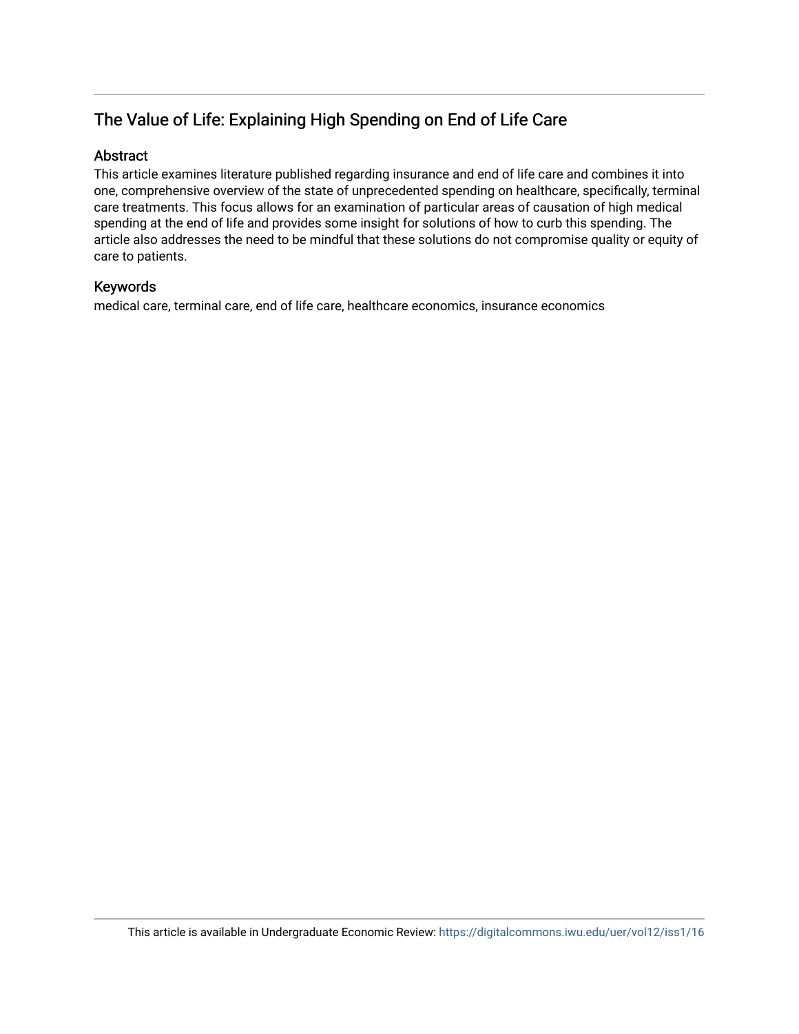## The Value of Life: Explaining High Spending on End of Life Care

### Abstract

This article examines literature published regarding insurance and end of life care and combines it into one, comprehensive overview of the state of unprecedented spending on healthcare, specifically, terminal care treatments. This focus allows for an examination of particular areas of causation of high medical spending at the end of life and provides some insight for solutions of how to curb this spending. The article also addresses the need to be mindful that these solutions do not compromise quality or equity of care to patients.

### Keywords

medical care, terminal care, end of life care, healthcare economics, insurance economics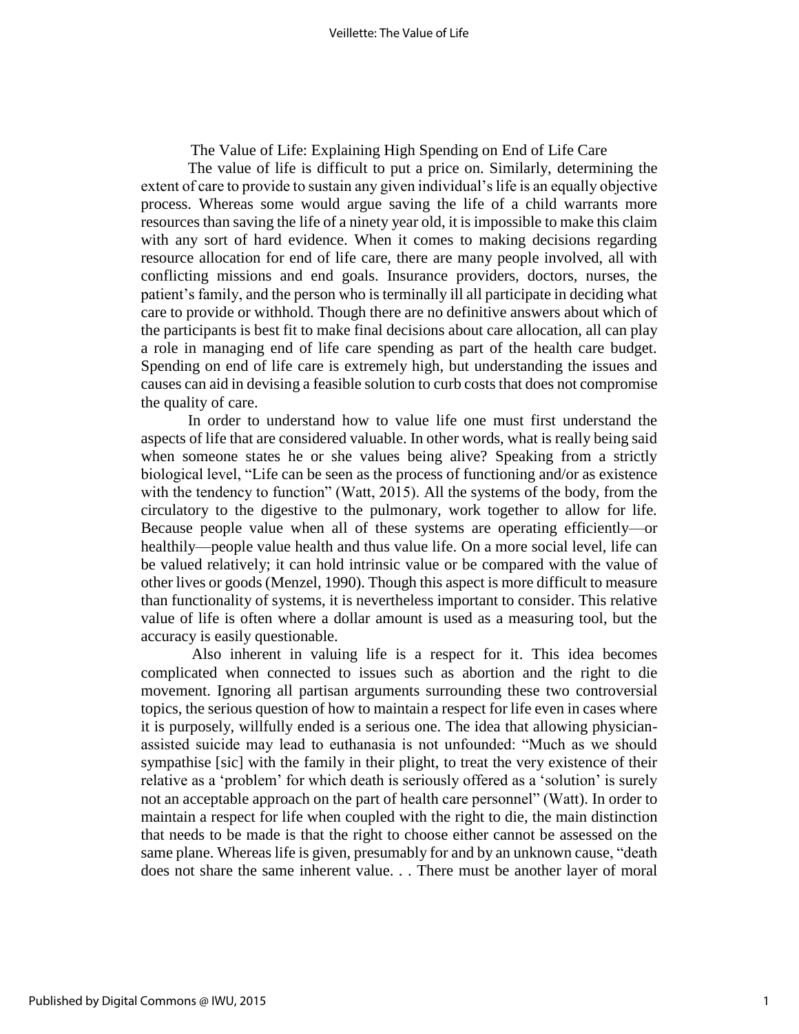The Value of Life: Explaining High Spending on End of Life Care

The value of life is difficult to put a price on. Similarly, determining the extent of care to provide to sustain any given individual's life is an equally objective process. Whereas some would argue saving the life of a child warrants more resources than saving the life of a ninety year old, it is impossible to make this claim with any sort of hard evidence. When it comes to making decisions regarding resource allocation for end of life care, there are many people involved, all with conflicting missions and end goals. Insurance providers, doctors, nurses, the patient's family, and the person who is terminally ill all participate in deciding what care to provide or withhold. Though there are no definitive answers about which of the participants is best fit to make final decisions about care allocation, all can play a role in managing end of life care spending as part of the health care budget. Spending on end of life care is extremely high, but understanding the issues and causes can aid in devising a feasible solution to curb costs that does not compromise the quality of care.

In order to understand how to value life one must first understand the aspects of life that are considered valuable. In other words, what is really being said when someone states he or she values being alive? Speaking from a strictly biological level, "Life can be seen as the process of functioning and/or as existence with the tendency to function" (Watt, 2015). All the systems of the body, from the circulatory to the digestive to the pulmonary, work together to allow for life. Because people value when all of these systems are operating efficiently—or healthily—people value health and thus value life. On a more social level, life can be valued relatively; it can hold intrinsic value or be compared with the value of other lives or goods (Menzel, 1990). Though this aspect is more difficult to measure than functionality of systems, it is nevertheless important to consider. This relative value of life is often where a dollar amount is used as a measuring tool, but the accuracy is easily questionable.

Also inherent in valuing life is a respect for it. This idea becomes complicated when connected to issues such as abortion and the right to die movement. Ignoring all partisan arguments surrounding these two controversial topics, the serious question of how to maintain a respect for life even in cases where it is purposely, willfully ended is a serious one. The idea that allowing physicianassisted suicide may lead to euthanasia is not unfounded: "Much as we should sympathise [sic] with the family in their plight, to treat the very existence of their relative as a 'problem' for which death is seriously offered as a 'solution' is surely not an acceptable approach on the part of health care personnel" (Watt). In order to maintain a respect for life when coupled with the right to die, the main distinction that needs to be made is that the right to choose either cannot be assessed on the same plane. Whereas life is given, presumably for and by an unknown cause, "death does not share the same inherent value. . . There must be another layer of moral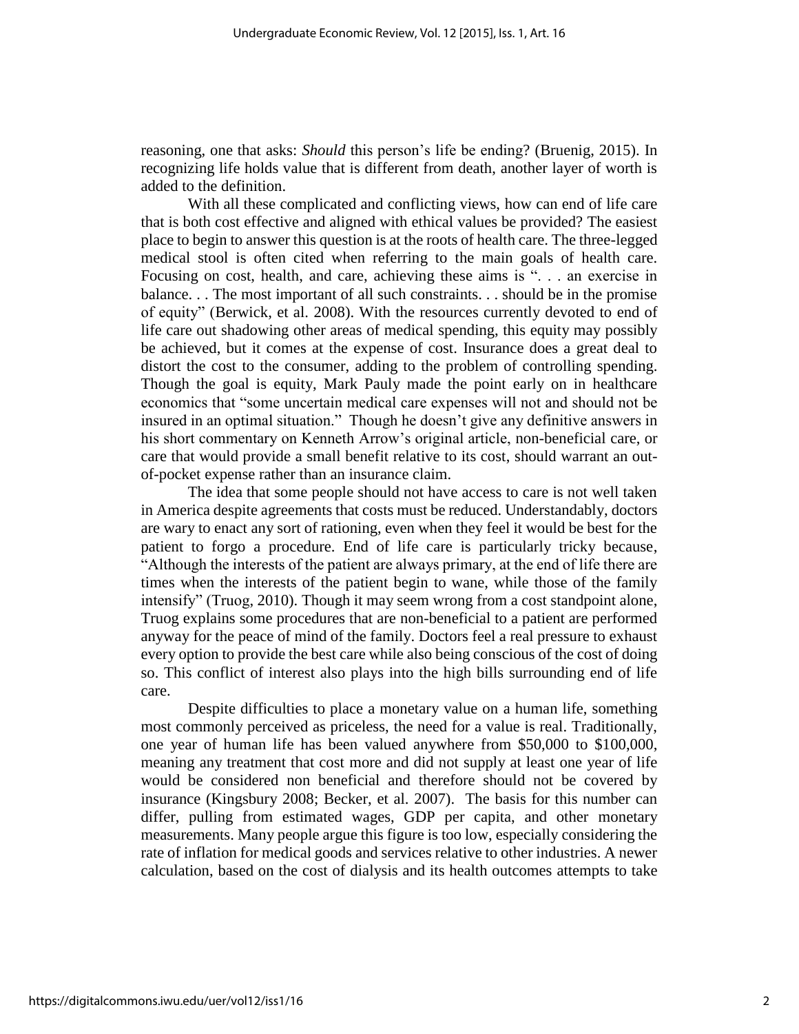reasoning, one that asks: *Should* this person's life be ending? (Bruenig, 2015). In recognizing life holds value that is different from death, another layer of worth is added to the definition.

With all these complicated and conflicting views, how can end of life care that is both cost effective and aligned with ethical values be provided? The easiest place to begin to answer this question is at the roots of health care. The three-legged medical stool is often cited when referring to the main goals of health care. Focusing on cost, health, and care, achieving these aims is ". . . an exercise in balance. . . The most important of all such constraints. . . should be in the promise of equity" (Berwick, et al. 2008). With the resources currently devoted to end of life care out shadowing other areas of medical spending, this equity may possibly be achieved, but it comes at the expense of cost. Insurance does a great deal to distort the cost to the consumer, adding to the problem of controlling spending. Though the goal is equity, Mark Pauly made the point early on in healthcare economics that "some uncertain medical care expenses will not and should not be insured in an optimal situation." Though he doesn't give any definitive answers in his short commentary on Kenneth Arrow's original article, non-beneficial care, or care that would provide a small benefit relative to its cost, should warrant an outof-pocket expense rather than an insurance claim.

The idea that some people should not have access to care is not well taken in America despite agreements that costs must be reduced. Understandably, doctors are wary to enact any sort of rationing, even when they feel it would be best for the patient to forgo a procedure. End of life care is particularly tricky because, "Although the interests of the patient are always primary, at the end of life there are times when the interests of the patient begin to wane, while those of the family intensify" (Truog, 2010). Though it may seem wrong from a cost standpoint alone, Truog explains some procedures that are non-beneficial to a patient are performed anyway for the peace of mind of the family. Doctors feel a real pressure to exhaust every option to provide the best care while also being conscious of the cost of doing so. This conflict of interest also plays into the high bills surrounding end of life care.

Despite difficulties to place a monetary value on a human life, something most commonly perceived as priceless, the need for a value is real. Traditionally, one year of human life has been valued anywhere from \$50,000 to \$100,000, meaning any treatment that cost more and did not supply at least one year of life would be considered non beneficial and therefore should not be covered by insurance (Kingsbury 2008; Becker, et al. 2007). The basis for this number can differ, pulling from estimated wages, GDP per capita, and other monetary measurements. Many people argue this figure is too low, especially considering the rate of inflation for medical goods and services relative to other industries. A newer calculation, based on the cost of dialysis and its health outcomes attempts to take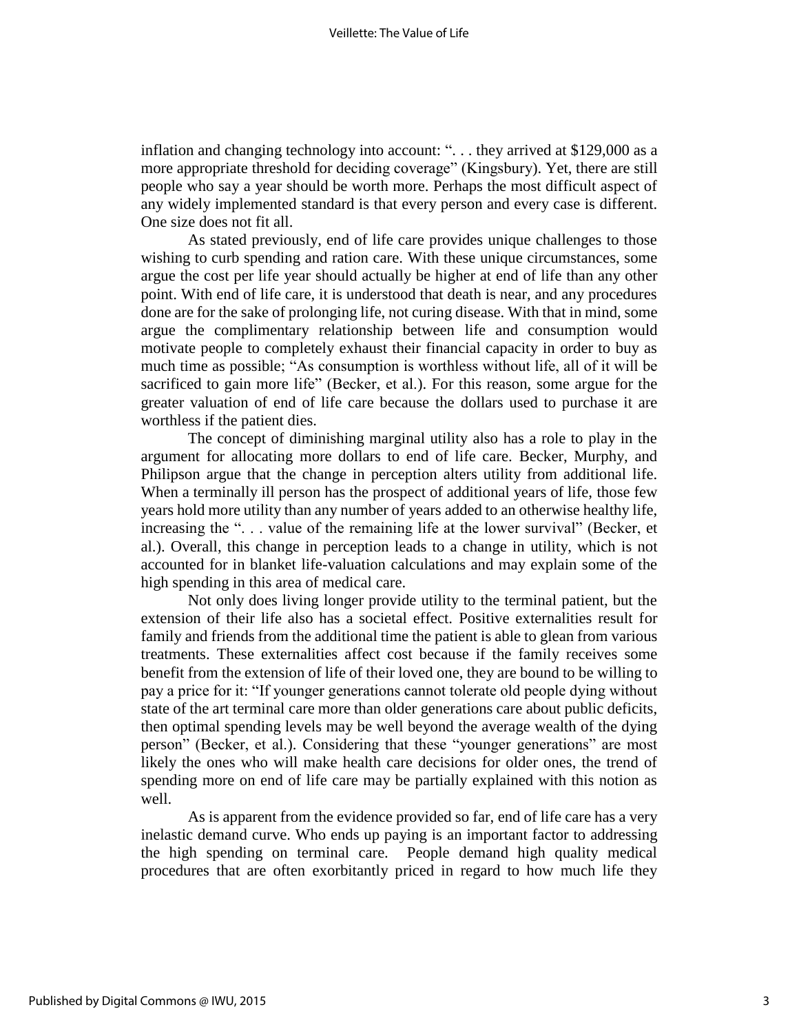inflation and changing technology into account: ". . . they arrived at \$129,000 as a more appropriate threshold for deciding coverage" (Kingsbury). Yet, there are still people who say a year should be worth more. Perhaps the most difficult aspect of any widely implemented standard is that every person and every case is different. One size does not fit all.

As stated previously, end of life care provides unique challenges to those wishing to curb spending and ration care. With these unique circumstances, some argue the cost per life year should actually be higher at end of life than any other point. With end of life care, it is understood that death is near, and any procedures done are for the sake of prolonging life, not curing disease. With that in mind, some argue the complimentary relationship between life and consumption would motivate people to completely exhaust their financial capacity in order to buy as much time as possible; "As consumption is worthless without life, all of it will be sacrificed to gain more life" (Becker, et al.). For this reason, some argue for the greater valuation of end of life care because the dollars used to purchase it are worthless if the patient dies.

The concept of diminishing marginal utility also has a role to play in the argument for allocating more dollars to end of life care. Becker, Murphy, and Philipson argue that the change in perception alters utility from additional life. When a terminally ill person has the prospect of additional years of life, those few years hold more utility than any number of years added to an otherwise healthy life, increasing the ". . . value of the remaining life at the lower survival" (Becker, et al.). Overall, this change in perception leads to a change in utility, which is not accounted for in blanket life-valuation calculations and may explain some of the high spending in this area of medical care.

Not only does living longer provide utility to the terminal patient, but the extension of their life also has a societal effect. Positive externalities result for family and friends from the additional time the patient is able to glean from various treatments. These externalities affect cost because if the family receives some benefit from the extension of life of their loved one, they are bound to be willing to pay a price for it: "If younger generations cannot tolerate old people dying without state of the art terminal care more than older generations care about public deficits, then optimal spending levels may be well beyond the average wealth of the dying person" (Becker, et al.). Considering that these "younger generations" are most likely the ones who will make health care decisions for older ones, the trend of spending more on end of life care may be partially explained with this notion as well.

As is apparent from the evidence provided so far, end of life care has a very inelastic demand curve. Who ends up paying is an important factor to addressing the high spending on terminal care. People demand high quality medical procedures that are often exorbitantly priced in regard to how much life they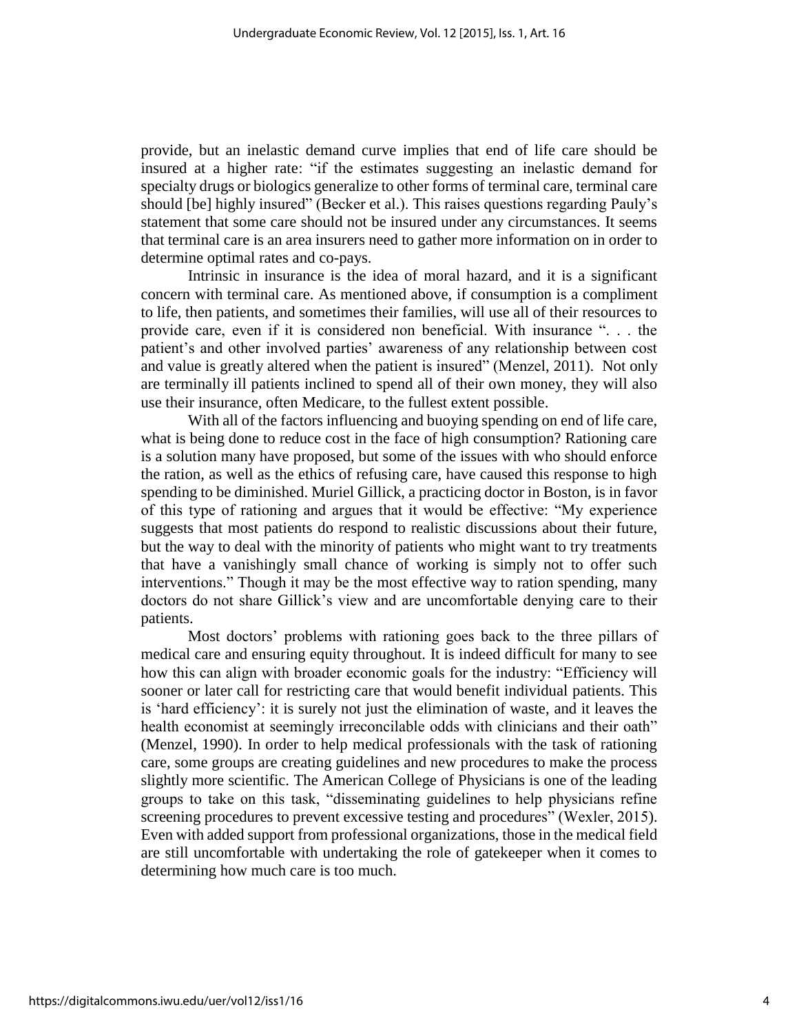provide, but an inelastic demand curve implies that end of life care should be insured at a higher rate: "if the estimates suggesting an inelastic demand for specialty drugs or biologics generalize to other forms of terminal care, terminal care should [be] highly insured" (Becker et al.). This raises questions regarding Pauly's statement that some care should not be insured under any circumstances. It seems that terminal care is an area insurers need to gather more information on in order to determine optimal rates and co-pays.

Intrinsic in insurance is the idea of moral hazard, and it is a significant concern with terminal care. As mentioned above, if consumption is a compliment to life, then patients, and sometimes their families, will use all of their resources to provide care, even if it is considered non beneficial. With insurance ". . . the patient's and other involved parties' awareness of any relationship between cost and value is greatly altered when the patient is insured" (Menzel, 2011). Not only are terminally ill patients inclined to spend all of their own money, they will also use their insurance, often Medicare, to the fullest extent possible.

With all of the factors influencing and buoying spending on end of life care, what is being done to reduce cost in the face of high consumption? Rationing care is a solution many have proposed, but some of the issues with who should enforce the ration, as well as the ethics of refusing care, have caused this response to high spending to be diminished. Muriel Gillick, a practicing doctor in Boston, is in favor of this type of rationing and argues that it would be effective: "My experience suggests that most patients do respond to realistic discussions about their future, but the way to deal with the minority of patients who might want to try treatments that have a vanishingly small chance of working is simply not to offer such interventions." Though it may be the most effective way to ration spending, many doctors do not share Gillick's view and are uncomfortable denying care to their patients.

Most doctors' problems with rationing goes back to the three pillars of medical care and ensuring equity throughout. It is indeed difficult for many to see how this can align with broader economic goals for the industry: "Efficiency will sooner or later call for restricting care that would benefit individual patients. This is 'hard efficiency': it is surely not just the elimination of waste, and it leaves the health economist at seemingly irreconcilable odds with clinicians and their oath" (Menzel, 1990). In order to help medical professionals with the task of rationing care, some groups are creating guidelines and new procedures to make the process slightly more scientific. The American College of Physicians is one of the leading groups to take on this task, "disseminating guidelines to help physicians refine screening procedures to prevent excessive testing and procedures" (Wexler, 2015). Even with added support from professional organizations, those in the medical field are still uncomfortable with undertaking the role of gatekeeper when it comes to determining how much care is too much.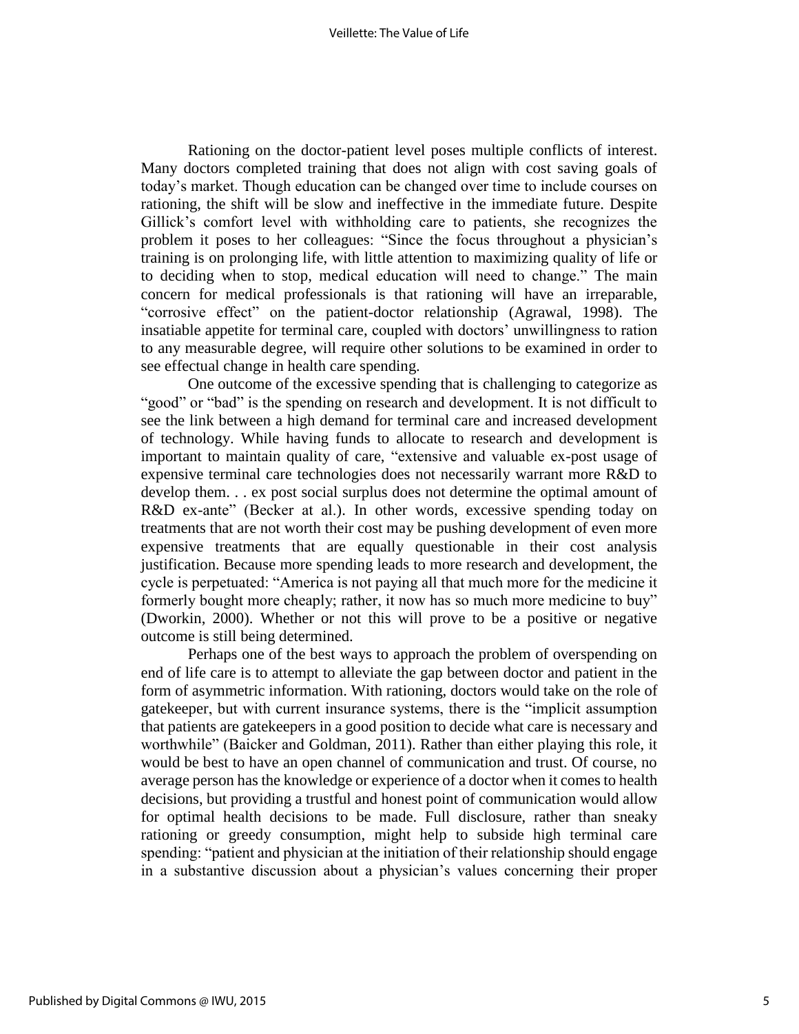Rationing on the doctor-patient level poses multiple conflicts of interest. Many doctors completed training that does not align with cost saving goals of today's market. Though education can be changed over time to include courses on rationing, the shift will be slow and ineffective in the immediate future. Despite Gillick's comfort level with withholding care to patients, she recognizes the problem it poses to her colleagues: "Since the focus throughout a physician's training is on prolonging life, with little attention to maximizing quality of life or to deciding when to stop, medical education will need to change." The main concern for medical professionals is that rationing will have an irreparable, "corrosive effect" on the patient-doctor relationship (Agrawal, 1998). The insatiable appetite for terminal care, coupled with doctors' unwillingness to ration to any measurable degree, will require other solutions to be examined in order to see effectual change in health care spending.

One outcome of the excessive spending that is challenging to categorize as "good" or "bad" is the spending on research and development. It is not difficult to see the link between a high demand for terminal care and increased development of technology. While having funds to allocate to research and development is important to maintain quality of care, "extensive and valuable ex-post usage of expensive terminal care technologies does not necessarily warrant more R&D to develop them. . . ex post social surplus does not determine the optimal amount of R&D ex-ante" (Becker at al.). In other words, excessive spending today on treatments that are not worth their cost may be pushing development of even more expensive treatments that are equally questionable in their cost analysis justification. Because more spending leads to more research and development, the cycle is perpetuated: "America is not paying all that much more for the medicine it formerly bought more cheaply; rather, it now has so much more medicine to buy" (Dworkin, 2000). Whether or not this will prove to be a positive or negative outcome is still being determined.

Perhaps one of the best ways to approach the problem of overspending on end of life care is to attempt to alleviate the gap between doctor and patient in the form of asymmetric information. With rationing, doctors would take on the role of gatekeeper, but with current insurance systems, there is the "implicit assumption that patients are gatekeepers in a good position to decide what care is necessary and worthwhile" (Baicker and Goldman, 2011). Rather than either playing this role, it would be best to have an open channel of communication and trust. Of course, no average person has the knowledge or experience of a doctor when it comes to health decisions, but providing a trustful and honest point of communication would allow for optimal health decisions to be made. Full disclosure, rather than sneaky rationing or greedy consumption, might help to subside high terminal care spending: "patient and physician at the initiation of their relationship should engage in a substantive discussion about a physician's values concerning their proper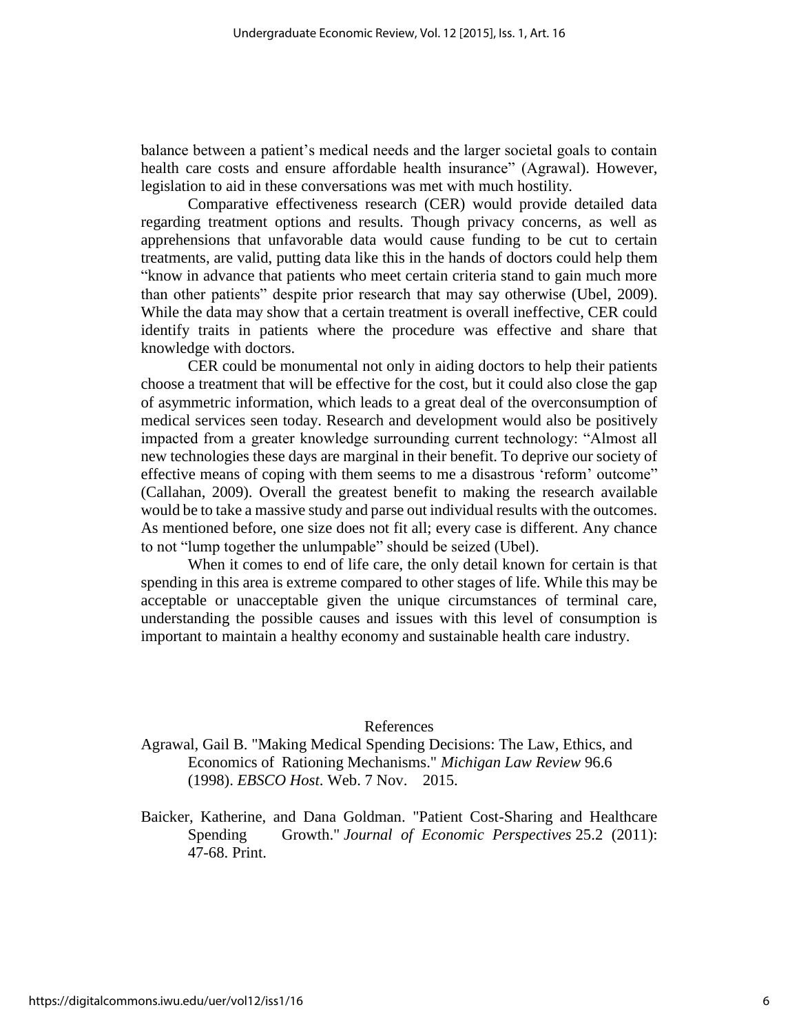balance between a patient's medical needs and the larger societal goals to contain health care costs and ensure affordable health insurance" (Agrawal). However, legislation to aid in these conversations was met with much hostility.

Comparative effectiveness research (CER) would provide detailed data regarding treatment options and results. Though privacy concerns, as well as apprehensions that unfavorable data would cause funding to be cut to certain treatments, are valid, putting data like this in the hands of doctors could help them "know in advance that patients who meet certain criteria stand to gain much more than other patients" despite prior research that may say otherwise (Ubel, 2009). While the data may show that a certain treatment is overall ineffective, CER could identify traits in patients where the procedure was effective and share that knowledge with doctors.

CER could be monumental not only in aiding doctors to help their patients choose a treatment that will be effective for the cost, but it could also close the gap of asymmetric information, which leads to a great deal of the overconsumption of medical services seen today. Research and development would also be positively impacted from a greater knowledge surrounding current technology: "Almost all new technologies these days are marginal in their benefit. To deprive our society of effective means of coping with them seems to me a disastrous 'reform' outcome" (Callahan, 2009). Overall the greatest benefit to making the research available would be to take a massive study and parse out individual results with the outcomes. As mentioned before, one size does not fit all; every case is different. Any chance to not "lump together the unlumpable" should be seized (Ubel).

When it comes to end of life care, the only detail known for certain is that spending in this area is extreme compared to other stages of life. While this may be acceptable or unacceptable given the unique circumstances of terminal care, understanding the possible causes and issues with this level of consumption is important to maintain a healthy economy and sustainable health care industry.

#### References

Agrawal, Gail B. "Making Medical Spending Decisions: The Law, Ethics, and Economics of Rationing Mechanisms." *Michigan Law Review* 96.6 (1998). *EBSCO Host*. Web. 7 Nov. 2015.

Baicker, Katherine, and Dana Goldman. "Patient Cost-Sharing and Healthcare Spending Growth." *Journal of Economic Perspectives* 25.2 (2011): 47-68. Print.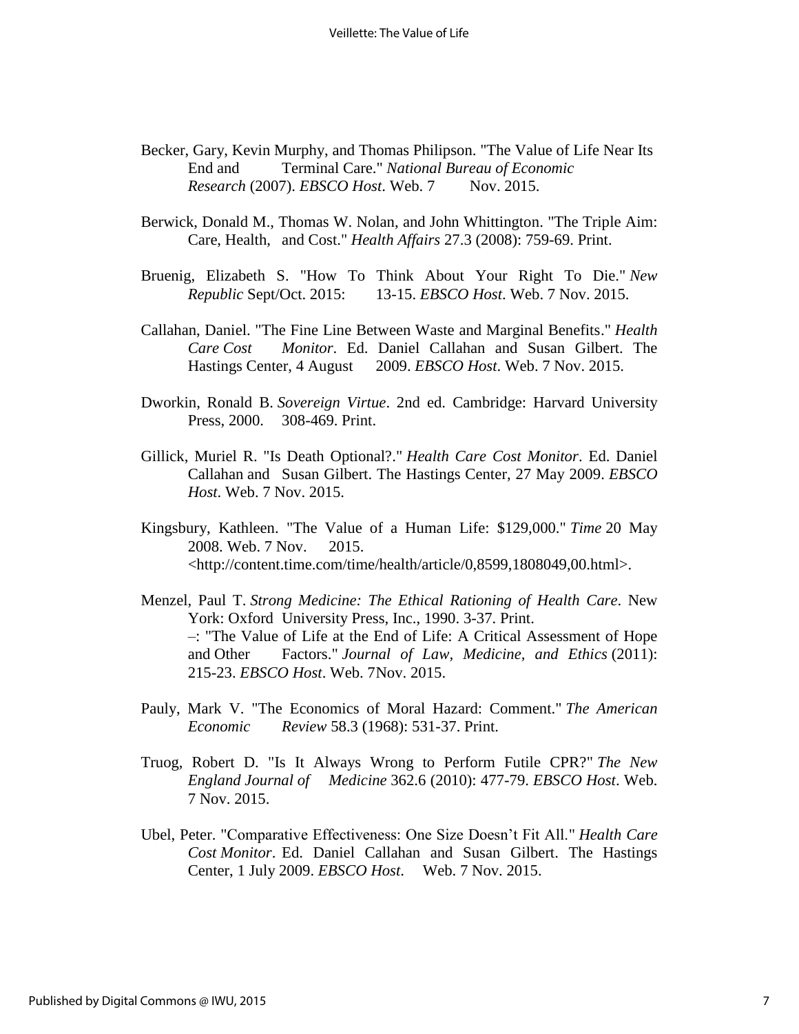- Becker, Gary, Kevin Murphy, and Thomas Philipson. "The Value of Life Near Its End and Terminal Care." *National Bureau of Economic Research* (2007). *EBSCO Host*. Web. 7 Nov. 2015.
- Berwick, Donald M., Thomas W. Nolan, and John Whittington. "The Triple Aim: Care, Health, and Cost." *Health Affairs* 27.3 (2008): 759-69. Print.
- Bruenig, Elizabeth S. "How To Think About Your Right To Die." *New Republic* Sept/Oct. 2015: 13-15. *EBSCO Host*. Web. 7 Nov. 2015.
- Callahan, Daniel. "The Fine Line Between Waste and Marginal Benefits." *Health Care Cost Monitor*. Ed. Daniel Callahan and Susan Gilbert. The Hastings Center, 4 August 2009. *EBSCO Host*. Web. 7 Nov. 2015.
- Dworkin, Ronald B. *Sovereign Virtue*. 2nd ed. Cambridge: Harvard University Press, 2000. 308-469. Print.
- Gillick, Muriel R. "Is Death Optional?." *Health Care Cost Monitor*. Ed. Daniel Callahan and Susan Gilbert. The Hastings Center, 27 May 2009. *EBSCO Host*. Web. 7 Nov. 2015.
- Kingsbury, Kathleen. "The Value of a Human Life: \$129,000." *Time* 20 May 2008. Web. 7 Nov. 2015. <http://content.time.com/time/health/article/0,8599,1808049,00.html>.
- Menzel, Paul T. *Strong Medicine: The Ethical Rationing of Health Care*. New York: Oxford University Press, Inc., 1990. 3-37. Print. –: "The Value of Life at the End of Life: A Critical Assessment of Hope and Other Factors." *Journal of Law, Medicine, and Ethics* (2011): 215-23. *EBSCO Host*. Web. 7Nov. 2015.
- Pauly, Mark V. "The Economics of Moral Hazard: Comment." *The American Economic Review* 58.3 (1968): 531-37. Print.
- Truog, Robert D. "Is It Always Wrong to Perform Futile CPR?" *The New England Journal of Medicine* 362.6 (2010): 477-79. *EBSCO Host*. Web. 7 Nov. 2015.
- Ubel, Peter. "Comparative Effectiveness: One Size Doesn't Fit All." *Health Care Cost Monitor*. Ed. Daniel Callahan and Susan Gilbert. The Hastings Center, 1 July 2009. *EBSCO Host*. Web. 7 Nov. 2015.